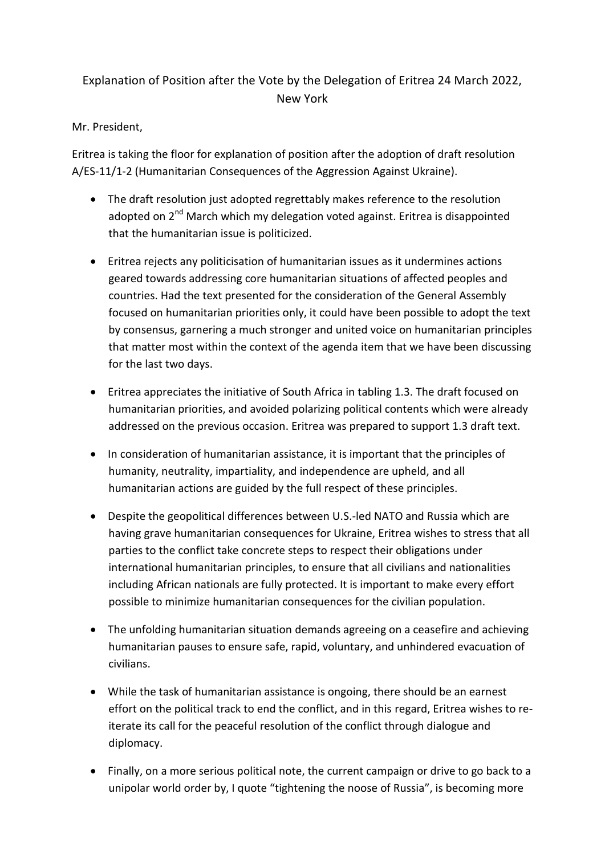## Explanation of Position after the Vote by the Delegation of Eritrea 24 March 2022, New York

## Mr. President,

Eritrea is taking the floor for explanation of position after the adoption of draft resolution A/ES-11/1-2 (Humanitarian Consequences of the Aggression Against Ukraine).

- The draft resolution just adopted regrettably makes reference to the resolution adopted on 2<sup>nd</sup> March which my delegation voted against. Eritrea is disappointed that the humanitarian issue is politicized.
- Eritrea rejects any politicisation of humanitarian issues as it undermines actions geared towards addressing core humanitarian situations of affected peoples and countries. Had the text presented for the consideration of the General Assembly focused on humanitarian priorities only, it could have been possible to adopt the text by consensus, garnering a much stronger and united voice on humanitarian principles that matter most within the context of the agenda item that we have been discussing for the last two days.
- Eritrea appreciates the initiative of South Africa in tabling 1.3. The draft focused on humanitarian priorities, and avoided polarizing political contents which were already addressed on the previous occasion. Eritrea was prepared to support 1.3 draft text.
- In consideration of humanitarian assistance, it is important that the principles of humanity, neutrality, impartiality, and independence are upheld, and all humanitarian actions are guided by the full respect of these principles.
- Despite the geopolitical differences between U.S.-led NATO and Russia which are having grave humanitarian consequences for Ukraine, Eritrea wishes to stress that all parties to the conflict take concrete steps to respect their obligations under international humanitarian principles, to ensure that all civilians and nationalities including African nationals are fully protected. It is important to make every effort possible to minimize humanitarian consequences for the civilian population.
- The unfolding humanitarian situation demands agreeing on a ceasefire and achieving humanitarian pauses to ensure safe, rapid, voluntary, and unhindered evacuation of civilians.
- While the task of humanitarian assistance is ongoing, there should be an earnest effort on the political track to end the conflict, and in this regard, Eritrea wishes to reiterate its call for the peaceful resolution of the conflict through dialogue and diplomacy.
- Finally, on a more serious political note, the current campaign or drive to go back to a unipolar world order by, I quote "tightening the noose of Russia", is becoming more